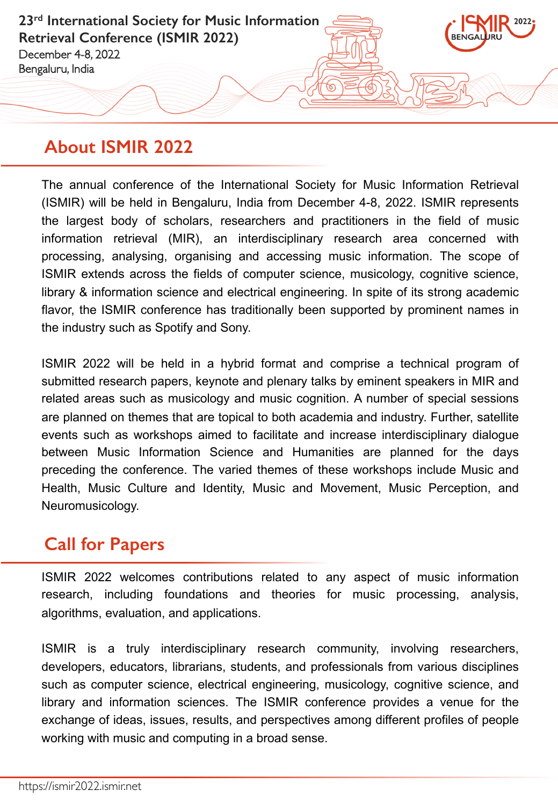**23rd International Society for Music Information Retrieval Conference (ISMIR 2022)** December 4-8, 2022 Bengaluru, India

## **About ISMIR 2022**

The annual conference of the International Society for Music Information Retrieval (ISMIR) will be held in Bengaluru, India from December 4-8, 2022. ISMIR represents the largest body of scholars, researchers and practitioners in the field of music information retrieval (MIR), an interdisciplinary research area concerned with processing, analysing, organising and accessing music information. The scope of ISMIR extends across the fields of computer science, musicology, cognitive science, library & information science and electrical engineering. In spite of its strong academic flavor, the ISMIR conference has traditionally been supported by prominent names in the industry such as Spotify and Sony.

ISMIR 2022 will be held in a hybrid format and comprise a technical program of submitted research papers, keynote and plenary talks by eminent speakers in MIR and related areas such as musicology and music cognition. A number of special sessions are planned on themes that are topical to both academia and industry. Further, satellite events such as workshops aimed to facilitate and increase interdisciplinary dialogue between Music Information Science and Humanities are planned for the days preceding the conference. The varied themes of these workshops include Music and Health, Music Culture and Identity, Music and Movement, Music Perception, and Neuromusicology.

## **Call for Papers**

ISMIR 2022 welcomes contributions related to any aspect of music information research, including foundations and theories for music processing, analysis, algorithms, evaluation, and applications.

ISMIR is a truly interdisciplinary research community, involving researchers, developers, educators, librarians, students, and professionals from various disciplines such as computer science, electrical engineering, musicology, cognitive science, and library and information sciences. The ISMIR conference provides a venue for the exchange of ideas, issues, results, and perspectives among different profiles of people working with music and computing in a broad sense.